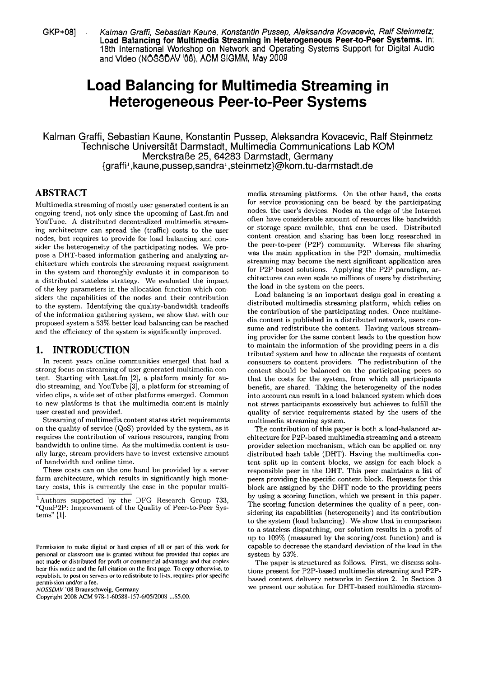GKP+08] . Kalman Graffi, Sebastian Kaune, Konstantin Pussep, Aleksandra Kovacevic, Ralf Steinmetz; **Load Balancing for Multimedia Streaming in Heterogeneous Peer-to-Peer Systems.** In: 18th International Workshop on Network and Operating Systems Support for Digital Audio and Video **(NOCCDAV '08),** ACM SIGMM, **May** 2008

# **Load Balancing for Multimedia Streaming in Heterogeneous Peer-to-Peer Systems**

Kalman Graffi, Sebastian Kaune, Konstantin Pussep, Aleksandra Kovacevic, Ralf Steinmetz Technische Universität Darmstadt, Multimedia Communications Lab KOM {graffi<sup>1</sup>, kaune,pussep,sandra<sup>1</sup>, steinmetz}@kom.tu-darmstadt.de

## **ABSTRACT**

Multimedia streaming of mostly user generated content is an ongoing trend, not only since the upcoming of Last.fm and YouTube. A distributed decentralized multimedia streaming architecture can spread the (traffic) costs to the user nodes, but requires to provide for load balancing and consider the heterogeneity of the participating nodes. We propose a DHT-based information gathering and analyzing architecture which controls the streaming request assignment in the system and thoroughly evaluate it in comparison to a distributed stateless strategy. We evaluated the impact of the key parameters in the allocation function which considers the capabilities of the nodes and their contribution to the system. Identifying the quality-bandwidth tradeoffs of the information gathering system, we show that with our proposed system a **53%** better load balancing can be reached and the efficiency of the system is significantly improved.

## **1. INTRODUCTION**

In recent years online communities emerged that had a strong focus on streaming of user generated multimedia content. Starting with Last.fm  $[2]$ , a platform mainly for audio streaming, and YouTube **[3],** a platform for streaming of video clips, a wide set of other platforms emerged. Common to new platforms is that the multimedia content is mainly user created and provided.

Streaming of multimedia content states strict requirements on the quality of service (QoS) provided by the system, as it requires the contribution of various resources, ranging from bandwidth to online time. As the multimedia content is usually large, stream providers have to invest extensive amount of bandwidth and online time.

These costs can on the one hand be provided by a server farm architecture, which results in significantly high monetary costs, this is currently the case in the popular multi-

Copyright 2008 ACM 978- 1-60588- 157-6/05/2008 ... \$5.00.

media streaming platforms. On the other hand, the costs for service provisioning can be beard by the participating nodes, the user's devices. Nodes at the edge of the Internet often have considerable amount of resources like bandwidth or storage space available, that can be used. Distributed content creation and sharing has been long researched in the peer-to-peer (P2P) community. Whereas file sharing was the main application in the P2P domain, multimedia streaming may become the next significant application area for P2P-based solutions. Applying the P2P paradigm, architectures can even scale to millions of users by distributing the load in the system on the peers.

Load balancing is an important design goal in creating a distributed multimedia streaming platform, which relies on the contribution of the participating nodes. Once multimedia content is published in a distributed network, users consume and redistribute the content. Having various streaming provider for the same content leads to the question how to maintain the information of the providing peers in a distributed system and how to allocate the requests of content consumers to content providers. The redistribution of the content should be balanced on the participating peers so that the costs for the system, from which all participants benefit, are shared. Taking the heterogeneity of the nodes into account can result in a load balanced system which does not stress participants excessively but achieves to fulfill the quality of service requirements stated by the users of the multimedia streaming system.

The contribution of this paper is both a load-balanced architecture for P2P-based multimedia streaming and a stream provider selection mechanism, which can be applied on any distributed hash table (DHT). Having the multimedia content split up in content blocks, we assign for each block a responsible peer in the DHT. This peer maintains a list of peers providing the specific content block. Requests for this block are assigned by the DHT node to the providing peers by using a scoring function, which we present in this paper. The scoring function determines the quality of **a** peer, considering its capabilities (heterogeneity) and its contribution to the system (Iod balancing). We show that in comparison to a stateless dispatching, our solution results in a profit of up to 109% (measured by the scoring/cost function) and is capable to decrease the standard deviation of the load in the system by **53%.** 

The paper is structured **as** follows. First, we discuss solutions present for P2P-based multimedia streaming and P2Pbased content delivery networks in Section 2. In Section **3**  we present our solution for DHT-based multimedia stream-

<sup>&</sup>lt;sup>1</sup>Authors supported by the DFG Research Group 733, "QuaP2P: Improvement of the Quality of Peer-to-Peer Systems" [I].

Permission to make digital or hard copies of all or part of this work for personal or classroom use is granted without fee provided that copies are not made or distributed for profit or commercial advantage and that copies bear this notice and the full citation on the first page. To copy otherwise, to republish, to post on servers or to redistribute to lists, requires prior specific permission and/or a fee.

NOSSDAV '08 Braunschweig, Germany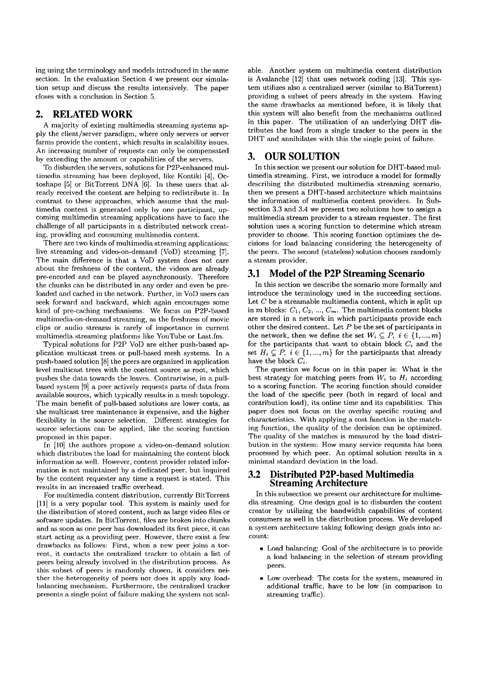ing using the terminology and models introduced in the Same section. In the evaluation Section 4 we present our simulation setup and cliscuss the results intensively. The paper closes with a conclusion in Section 5.

# **2. RELATED WORK**

A majority of existing multimedia streaming systems apply the client/server paracligm, where only servers or server farms provide the content, which results in scalability issues. An increasing number of requests can only be compensated by extending the amount or capabilities of the servers.

To disburden the servers, solutions for P2P-enhanced multimedia streaming has been deployed, like Kontiki [4], Octoshape *[5]* or BitTorrent DNA [6]. In these users that already received the content are helping to redistribute it. In contrast to these approaches, which assume that the multimeclia content is generated only by one participant, upcoming multimedia streaming applications have to facc the challenge of all participants in a distributed network creating, providing and consuming multimedia content.

There are two kinds of multimedia streaming applications: live streaming and video-on-demand (VoD) streaming **[7].**  The main difference is that a VoD system does not care about the freshness of the content, the videos are already pre-encoded and can be played asynchronously. Therefore the chunks can be distributed in any order and even be preloaded and cached in the network. Further, in VoD users can seek forward and backward, which again encourages some kind of pre-caching mechanisms. We focus on P2P-based multimedia-on-clemand streaming, **as** the freshness of movie clips or audio streams is rarely of importance in current multimedia streaming platforms like YouTube or Last.fm.

Typical solutions for P2P VoD are either push-based application multicast trees or pull-based mesh systems. In a push-based solution [8] the peers are organized in application level multicast trees with the content source **as** root, which pushes the data towards the leaves. Contrariwise, in a pullbased system **[9]** a peer actively requests parts of data from available sources, which typically results in a mesh topology. The main benefit of pull-based solutions are lower costs, as the multicast tree maintenance is expensive, and the higher flexibility in the source selection. Different strategies for source selections can be applied, like the scoring function proposed in this paper.

In [10] the authors propose a video-on-demand solution which distributes the load for maintaining the content block information **as** well. However, content provider related information is not maintained by a dedicated peer, but inquired by the content requester any time a request is stated. This results in an increased traffic overhead.

For multimedia content distribution, currently BitTorrent [ll] is a very popular tool. This system is mainly used for the distribution of stored content, such as large video files or software updates. In BitTorrent, files are broken into chunks and as soon as one peer has downloaded its first piece, it can start acting **ns** a providing peer. However, there exist a few drawbacks as follows: First, when a new peer joins a torrent, it contacts the centralized tracker to obtain a list of peers being already involved in the distribution process. As this subset of peers is randomly chosen, it considers neither the heterogeneity of peers nor does it apply any loadbalancing mechanism. Furthermore, the centralized tracker preserits a single point of failure making the system not scalable. Another system on multimedia content distribution is Avalanche [12] that uses network coding [13]. This system utilizes also a centralized server (similar to BitTorrent) providing a subset of peers already in the system. Having the Same drawbacks as mentioned before, it is likely that this system will also benefit from the mechanisms outlined in this paper. The utilization of an underlying DHT distributes the load from a single tracker to the peers in the DHT and annihilates with this the single point of failure.

# **3. OUR SOLUTION**

In this section we present our solution for DHT-based multimedia streaming. First, we introduce a model for formally describing the distributed multimedia streaming scenario, then we present a DHT-based architecture which maintains the information of multimedia content providers. In Subsection **3.3** and 3.4 we present two solutions how to assign a multimedia stream provider to a stream requester. The first solution uses a scoring function to determine which stream provider to choose. This scoring function optimizes the decisions for Iod balancing considering the heterogeneity of the peers. The second (stateless) solution chooses randomly a stream provider.

#### **3.1 Model of the P2P Streaming Scenario**

In this section we describe the scenario more formally and introduce the terminology used in the succeeding sections. Let  $C$  be a streamable multimedia content, which is split up in *m* blocks:  $C_1, C_2, ..., C_m$ . The multimedia content blocks are stored in a network in which participants provide each other the desired content. Let  $P$  be the set of participants in the network, then we define the set  $W_i \subseteq P$ ,  $i \in \{1, ..., m\}$ for the participants that want to obtain block  $C_i$  and the set  $H_i \subseteq P$ ,  $i \in \{1, ..., m\}$  for the participants that already have the block  $C_i$ .

The question we focus on in this paper is: What is the best strategy for matching peers from  $W_i$  to  $H_i$  according to a scoring function. The scoring function should consider the load of the specific peer (both in regard of local and contribution load), its online time and its capabilities. This paper does not focus on the overlay specific routing and characteristics. With applying a cost function in the matching function, the quality of the decision can be optimized. The quality of the matches is measured by the load distribution in the system: How many service requests has been processed by which peer. An optimal solution results in a minimal standard deviation in the load.

#### **3.2 Distributed P2P-based Multimedia Streaming Architecture**

In this subsection we present our architecture for multimedia streaming. One design goal is to disburden the content creator by utilizing the bandwidth capabilities of content consumers as well in the distribution process. We developed a system architecture taking following design goals into account:

- Load balancing: Goal of the architecture is to provide a load balancing in the selection of stream providing peers.
- Low overhead: The costs for the system, measured in additional traffic, have to be low (in comparison to streaming traffic) .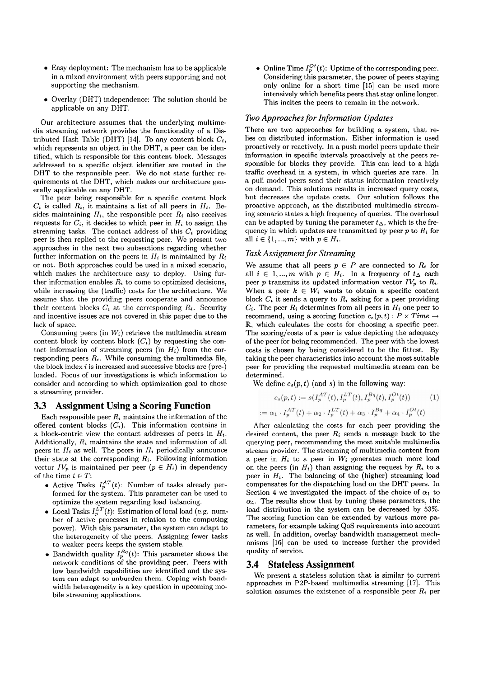- Easy deployment: The mechanism has to be applicable in a mixed environment with peers supporting and not supporting the mechanism.
- Overlay (DHT) independence: The solution should be applicable on any DHT.

Our architecture assumes that the underlying multimedia streaming network provides the functionality of a Distributed Hash Table (DHT) [14]. To any content block  $C_i$ , which represents an object in the DHT, a peer can be identified, which is responsible for this content block. Messages addressed to a specific object identifier are routed in the DHT to the responsible peer. We do not state further requirements at the DHT, which makes our architecture generally applicable on any DHT.

The peer being responsible for a specific content block  $C_i$  is called  $R_i$ , it maintains a list of all peers in  $H_i$ . Besides maintaining  $H_i$ , the responsible peer  $R_i$  also receives requests for  $C_i$ , it decides to which peer in  $H_i$  to assign the streaming tasks. The contact address of this  $C_i$  providing peer is then replied to the requesting peer. We present two approaches in the next two subsections regarding whether further information on the peers in  $H_i$  is maintained by  $R_i$ or not. Both approaches could be used in a mixed scenario, which makes the architecture easy to deploy. Using further information enables  $R_i$  to come to optimized decisions, while increasing the (traffic) costs for the architecture. We assume that the providing peers cooperate and announce their content blocks  $C_i$  at the corresponding  $R_i$ . Security and incentive issues are not covered in this paper due to the lack of space.

Consuming peers (in  $W_i$ ) retrieve the multimedia stream content block by content block  $(C_i)$  by requesting the contact information of streaming peers (in  $H_i$ ) from the corresponding peers  $R_i$ . While consuming the multimedia file, the block index  $i$  is increased and successive blocks are (pre-) loaded. Focus of our investigations is which information to consider and according to which optimization goal to chose a streaming provider.

#### **3.3 Assignment Using a Scoring Function**

Each responsible peer  $R_i$  maintains the information of the offered content blocks  $(C_i)$ . This information contains in a block-centric view the contact addresses of peers in  $H_i$ . Additionally,  $R_i$  maintains the state and information of all peers in  $H_i$  as well. The peers in  $H_i$  periodically announce their state at the corresponding  $R_i$ . Following information vector  $IV_p$  is maintained per peer  $(p \in H_i)$  in dependency of the time  $t \in T$ :

- Active Tasks  $I_p^{AT}(t)$ : Number of tasks already performed for the system. This parameter can be used to optimize the system regarding load balancing.
- Local Tasks  $I_p^{LT}(t)$ : Estimation of local load (e.g. number of active processes in relation to the computing power). With this parameter, the system can adapt to the heterogeneity of the peers. Assigning fewer tasks to weaker peers keeps the system stable.
- Bandwidth quality  $I_p^{Bq}(t)$ : This parameter shows the network conditions of the providing peer. Peers with low bandwidth capabilities are identified and the system can adapt to unburden them. Coping with bandwidth heterogeneity is a key question in upcoming mobile streaming applications.

• Online Time  $I_p^{Ot}(t)$ : Uptime of the corresponding peer. Considering this parameter, the power of peers staying only online for a short time **[I51** can be used more intensively which benefits peers that stay online longer. This incites the peers to remain in the network.

## *Two Approaches for Information Updates*

There are two approaches for building a system, that relies on distributed information. Either information is used proactively or reactively. In a push model peers update their information in specific intervals proactively at the peers responsible for blocks they provide. This can lead to a high traffic overhead in a system, in which queries are rare. In a pul1 model peers send their status information reactively on dernand. This solutions results in increased query costs, but decreases the update costs. Our solution follows the proactive approach, as the distributed multimedia streaming scenario states a high frequency of queries. The overhead can be adapted by tuning the parameter  $t_{\Delta}$ , which is the frequency in which updates are transmitted by peer p to  $R_i$  for all  $i \in \{1, ..., m\}$  with  $p \in H_i$ .

### *Task Assignment for Streaming*

We assume that all peers  $p \in P$  are connected to  $R_i$  for all  $i \in 1, ..., m$  with  $p \in H_i$ . In a frequency of  $t_{\Delta}$  each peer p transmits its updated information vector  $IV_p$  to  $R_i$ . When a peer  $k \in W_i$  wants to obtain a specific content block  $C_i$  it sends a query to  $R_i$  asking for a peer providing  $C_i$ . The peer  $R_i$  determines from all peers in  $H_i$  one peer to recommend, using a scoring function  $c_s(p, t)$  :  $P \times Time \rightarrow$ IR, which calculates the costs for choosing a specific peer. The scoring/costs of a peer is value depicting the adequacy of the peer for being recommended. The peer with the lowest costs is chosen by being considered to be the fittest. By taking the peer characteristics into account the most suitable peer for providing the requested multimedia stream can be determined.

We define  $c_s(p, t)$  (and s) in the following way:

$$
c_s(p,t) := s(I_p^{AT}(t), I_p^{LT}(t), I_p^{Bq}(t), I_p^{Ot}(t))
$$
(1)  

$$
\alpha_1 \cdot I_p^{AT}(t) + \alpha_2 \cdot I_p^{LT}(t) + \alpha_3 \cdot I_p^{Bq} + \alpha_4 \cdot I_p^{Ot}(t)
$$

After calculating the costs for each peer providing the desired content, the peer  $R_i$  sends a message back to the querying peer, recommending the most suitable multimedia stream provider. The streaming of multimedia content from a peer in  $H_i$  to a peer in  $W_i$  generates much more load on the peers (in  $H_i$ ) than assigning the request by  $R_i$  to a peer in  $H_i$ . The balancing of the (higher) streaming load compensates for the dispatching load on the DHT peers. In Section 4 we investigated the impact of the choice of  $\alpha_1$  to  $\alpha_4$ . The results show that by tuning these parameters, the load distribution in the system can be decreased by **53%.**  The scoring function can be extended by various more parameters, for example taking QoS requirements into account as well. In addition, overlay bandwidth management mechanisms **[16]** can be used to increase further the provided quality of service.

#### **3.4 Stateless Assignment**

 $:=$ 

We present a stateless solution that is similar to current approaches in P2P-based multimedia streaming **[17].** This solution assumes the existence of a responsible peer  $R_i$  per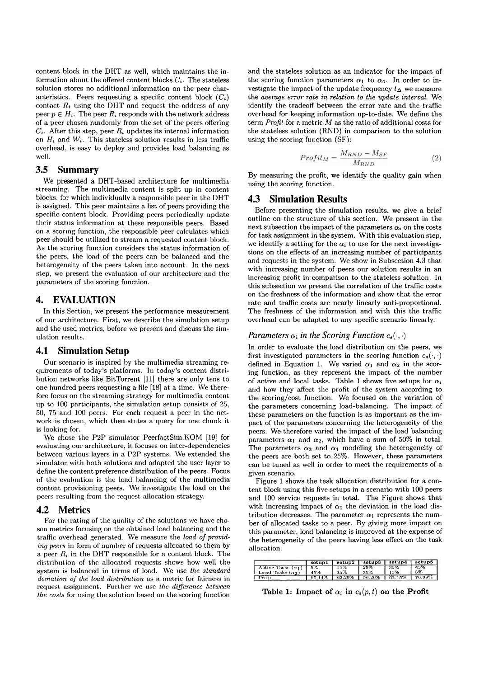content block in the DHT as well, which maintains the information about the offered content blocks  $C_i$ . The stateless solution stores no additional information on the peer characteristics. Peers requesting a specific content block  $(C_i)$ contact  $R_i$  using the DHT and request the address of any peer  $p \in H_i$ . The peer  $R_i$  responds with the network address of a peer chosen randomly from the set of the peers offering  $C_i$ . After this step, peer  $R_i$  updates its internal information on  $H_i$  and  $W_i$ . This stateless solution results in less traffic overhead, is easy to deploy and provides load balancing as well.

## **3.5 Summary**

We presented a DHT-based architecture for multimedia streaming. The multimedia content is split up in content blocks, for which individually a responsible peer in the DHT is assigned. This peer maintains a list of peers providing the specific content block. Providing peers periodically update their status information at these responsible peers. Based on a scoring function, the responsible peer calculates which peer should be utilized to stream a requested content block. As the scoring function considers the status information of the peers, the load of the peers can be balanced and the heterogeneity of the peers taken into account. In the next step, we present the evaluation of our architecture and the parameters of the scoring function.

#### **4. EVALUATION**

In this Section, we present the performance measurement of our architecture. First, we describe the simulation setup and the used metrics, before we present and discuss the simulation results.

#### **4.1 Simulation Setup**

Our scenario is inspired by the multimedia streaming requirements of today's platforms. In today's content distribution networks like BitTorrent [ll] there are only tens to one hundred peers requesting a file  $[18]$  at a time. We therefore focus on the streaming strategy for multimedia content up to  $100$  participants, the simulation setup consists of  $25$ , 50, 75 and 100 peers. For each request a Peer in the network is chosen, which then states a query for one chunk it is looking for.

We chose the P2P simulator PeerfactSim.KOM [19] for evaluating our architecture, it focuses on inter-dependencies between various layers in a P2P systems. We extended the simulator with both solutions and adapted the user layer to define the content preference distribution of the peers. Focus of the evaluation is the load balancing of the multimedia content provisioning peers. We investigate the load on the peers resulting from the request allocation strategy.

## **4.2 Metrics**

For the rating of the quality of the solutions we have choscn metrics focusing on the obtained load balancing and the traffic overhead generated. We measure the *load of providing peers* in form of number of requests allocated to them by a peer **R,** in the DHT responsible for a content block. The distribution of the allocated requests shows how well the system is balanced in terms of load. We use the standard *deviation of the load distribution* as a metric for fairness in request assignment. Further we use *the dijyerence between*  the costs for using the solution based on the scoring function

and the stateless solution as an indicator for the impact of the scoring function parameters  $\alpha_1$  to  $\alpha_4$ . In order to investigate the impact of the update frequency  $t_{\Delta}$  we measure the *average error rate in relation to the update interval.* We identify the tradeoff between the error rate and the traffic overhead for keeping information up-to-date. We define the term *Profit.* for a metric M as the ratio of additional costs for the stateless solution (RND) in comparison to the solution using the scoring function (SF):

$$
Profit_{M} = \frac{M_{RND} - M_{SF}}{M_{RND}}
$$
\n(2)

By measuring the profit, we identify the quality gain when using the scoring function.

## **4.3 Simulation Results**

Before presenting the simulation results, we give a brief outline on the structure of this section. We present in the next subsection the impact of the parameters  $\alpha_i$  on the costs for task assignment in the system. With this evaluation step, we identify a setting for the  $\alpha_i$  to use for the next investigations on the effects of an increasing number of participants and requests in the system. We show in Subsection **4.3** that with increasing number of peers our solution results in an increasing profit in comparison to the stateless solution. In this subsection we present the correlation of the traffic costs on the freshness of the information and show that the error rate and traffic costs are nearly linearly anti-proportional. The freshness of the information and with this the traffic overhead can be adapted to any specific scenario linearly.

## *Parameters*  $\alpha_i$  *in the Scoring Function*  $c_s(\cdot, \cdot)$

In order to evaluate the load distribution on the peers, we first investigated parameters in the scoring function  $c_s(\cdot, \cdot)$ defined in Equation 1. We varied  $\alpha_1$  and  $\alpha_2$  in the scoring function, **as** they represent the impact of the number of active and local tasks. Table 1 shows five setups for  $\alpha_i$ and how they affect the profit of the system according to the scoring/cost function. We focused on the variation of the parameters concerning load-balancing. The impact of these parameters on the function is as important as the impact of the parameters concerning the heterogeneity of the peers. We therefore varied the impact of the load balancing parameters  $\alpha_1$  and  $\alpha_2$ , which have a sum of 50% in total. The parameters  $\alpha_3$  and  $\alpha_4$  modeling the heterogeneity of the peers are both set to 25%. However, these parameters can be tuned as well in order to meet the requirements of a given scenario.

Figure 1 shows the task allocation distribution for a content block using this five setups in a scenario with 100 peers and 100 service requests in total. The Figure shows that with increasing impact of  $\alpha_1$  the deviation in the load distribution decreases. The parameter  $\alpha_1$  represents the number of allocated tasks to a peer. By giving more impact on this parameter, load balancing is improved at the expense of the heterogeneity of the peers having less effect on the task allocation.

|                                | setup1 | setup2 setup3 |        | setup4 | setup5 |
|--------------------------------|--------|---------------|--------|--------|--------|
| Active Tasks $(\alpha_1)$   5% |        | 15%           | 25%    | 35%    | 45%    |
| Local Tasks (ag)               | 45%    | 35%           | 25%    | 15%    | -5%    |
| Part                           | 65.14% | 62.29%        | 56.26% | 62.15% | 76.88% |

Table 1: Impact of  $\alpha_i$  in  $c_s(p,t)$  on the Profit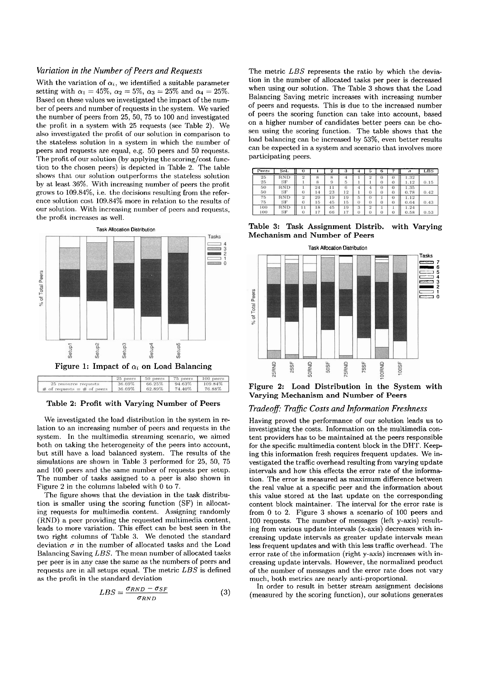#### *Variation in the Number of Peers and Requests*

With the variation of  $\alpha_i$ , we identified a suitable parameter setting with  $\alpha_1 = 45\%, \alpha_2 = 5\%, \alpha_3 = 25\%$  and  $\alpha_4 = 25\%$ . ßased on these values we investigated the impact of the number of peers and number of requests in the system. We varied the number of peers from 25, 50, 75 to 100 and investigated the profit in a system with  $25$  requests (see Table 2). We also investigated the profit of our solution in comparison to the stateless solution in a system in which the number of peers and requests are equal, e.g. 50 peers and 50 requests. **'i'he** profit of our solution (by applying the scoring/cost function to the chosen peers) is depicted in Table 2. The table shows that our solution outperforms the stateless solution by at least 36%. With increasing number of peers the profit grows to 109.84%, i.e. the decisions resulting from the reference solution cost 109.84% more in relation to the results of our solution. With increasing number of peers and requests, the profit increases as well.



**Table 2: Profit with Varying Number of Peers** 

We investigated the load distribution in the system in relation to an increasing number of peers and requests in the system. In the multimedia streaming scenario, we aimed both on taking the heterogeneity of the peers into account, hut still have a load balanced system. The results of the simulations are shown in Table **3** performed for 25, 50, 75 and 100 peers and the Same number of requests per setup. The number of tasks assigned to a peer is also shown in Figure 2 in the columns labeled with  $0$  to  $7$ .

The figure shows that the deviation in the task distribution is smaller using the scoring function (SF) in allocating requests for multimedia content. Assigning randomly (RND) a peer providing the requested multimedia content, leads to more variation. This effect can be best seen in the two right columns of Table **3.** We denoted the standard deviation  $\sigma$  in the number of allocated tasks and the Load Balancing Saving LBS. The mean number of allocated tasks per peer is in any case the same as the numbers of peers and requests are in all setups equal. The metric *LBS* is defined as the profit in the standard deviation

$$
LBS = \frac{\sigma_{RND} - \sigma_{SF}}{\sigma_{RND}}
$$
 (3)

The metric LBS represents the ratio by which the deviation in the number of allocated tasks per peer is decreased when using our solution. The Table **3** shows that the Load Balancing Saving metric increases with increasing number of peers and requests. This is due to the increased number of peers the scoring function can take into account, based on a higher number of candidates better peers can be cho-Sen using the scoring function. The table shows that the load balancing can be increased by 53%, even better results can be expected in a system and scenario that involves more participating peers.

| Peers | Sol.       | o        |    | 2  | з  | 4              | Ð              | 6        |                | $\sigma$ | LBS  |
|-------|------------|----------|----|----|----|----------------|----------------|----------|----------------|----------|------|
| 25    | <b>RND</b> |          | 8  | 8  |    |                | z              | U        | υ              | 1.32     |      |
| 25    | SF         |          | 8  | 9  | 5  | ÷              | ж              | 0        | 0              | 1.12     | 0.15 |
| 50    | <b>RND</b> |          | 24 |    | 6  | 4              | 4              | $\theta$ | 0              | 1.35     |      |
| 50    | SF         | $\theta$ | 14 | 23 | 12 | ٠              | 0              | $\theta$ | 0              | 0.78     | 0.42 |
| 75    | <b>RND</b> | ≘<br>۷   | 29 | 19 | 19 | 5              | 0              |          | 0              | 1.12     |      |
| 75    | SF         | $\theta$ | 15 | 45 | 15 | $\bf{0}$       | $\bf{0}$       | 0        | $\theta$       | 0.64     | 0.43 |
| 100   | <b>RND</b> |          | 18 | 45 | 19 | 3              | $\overline{2}$ |          |                | 1.24     |      |
| 100   | SF         | 0        | ÷  | 66 | 17 | $\overline{0}$ | $\theta$       | $\theta$ | $\overline{0}$ | 0.58     | 0.53 |

**Table 3: Task Assignment Distrib. with Varying Mechanism and Number of Peers** 



**Figure 2: Load Distribution in the System with Varying Mechanism and Number of Peers** 

#### *Tradeoff: Traffic Costs and Information Freshness*

Having proved the performance of our solution leads us to investigating the costs. Information on the multimedia content providers has to be maintained at the peers responsible for the specific multimedia content block in the DHT. Keep ing this information fresh requires frequent updates. We investigated the trafic overhead resulting from varying update intervals and how this effects the error rate of the information. The error is measured as maximum difference between the real value at a specific peer and the information about this value stored at the last update on the corresponding content block maintainer. The interval for the error rate is from 0 to 2. Figure **3** shows a scenario of 100 peers and 100 requests. The number of messages (left y-axis) resulting from various update intervals (X-axis) decreases with increasing update intervals **as** greater update intervals mean less frequent updates and with this less traffic overhead. The error rate of the information (right y-axis) increases with increasing update intervals. However, the normalized product of the number of messages and the error rate does not vary much, hoth metrics are nearly anti-proportional.

In order to result in better stream assignment decisions (measured by the scoring function), our solutions generates